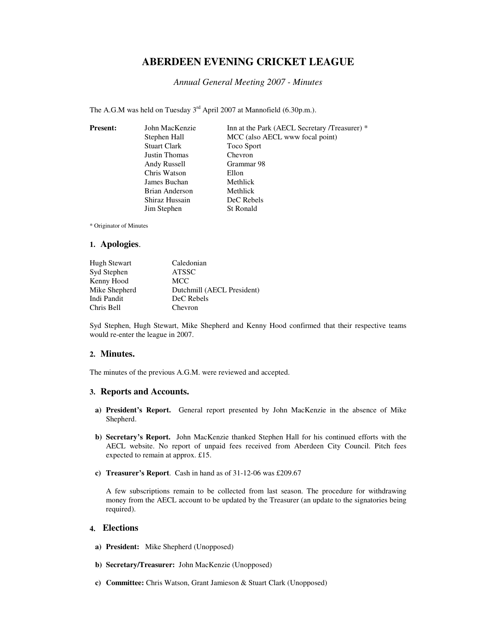# **ABERDEEN EVENING CRICKET LEAGUE**

#### *Annual General Meeting 2007 - Minutes*

The A.G.M was held on Tuesday 3<sup>rd</sup> April 2007 at Mannofield (6.30p.m.).

| <b>Present:</b> | John MacKenzie      | Inn at the Park (AECL Secretary /Treasurer) * |
|-----------------|---------------------|-----------------------------------------------|
|                 | Stephen Hall        | MCC (also AECL www focal point)               |
|                 | <b>Stuart Clark</b> | Toco Sport                                    |
|                 | Justin Thomas       | Chevron                                       |
|                 | Andy Russell        | Grammar 98                                    |
|                 | Chris Watson        | Ellon                                         |
|                 | James Buchan        | Methlick                                      |
|                 | Brian Anderson      | Methlick                                      |
|                 | Shiraz Hussain      | DeC Rebels                                    |
|                 | Jim Stephen         | St Ronald                                     |
|                 |                     |                                               |

\* Originator of Minutes

#### **1. Apologies**.

| <b>Hugh Stewart</b> | Caledonian                 |
|---------------------|----------------------------|
| Syd Stephen         | <b>ATSSC</b>               |
| Kenny Hood          | <b>MCC</b>                 |
| Mike Shepherd       | Dutchmill (AECL President) |
| Indi Pandit         | DeC Rebels                 |
| Chris Bell          | Chevron                    |

Syd Stephen, Hugh Stewart, Mike Shepherd and Kenny Hood confirmed that their respective teams would re-enter the league in 2007.

#### **2. Minutes.**

The minutes of the previous A.G.M. were reviewed and accepted.

#### **3. Reports and Accounts.**

- **a) President's Report.** General report presented by John MacKenzie in the absence of Mike Shepherd.
- **b) Secretary's Report.** John MacKenzie thanked Stephen Hall for his continued efforts with the AECL website. No report of unpaid fees received from Aberdeen City Council. Pitch fees expected to remain at approx. £15.
- **c) Treasurer's Report**. Cash in hand as of 31-12-06 was £209.67

A few subscriptions remain to be collected from last season. The procedure for withdrawing money from the AECL account to be updated by the Treasurer (an update to the signatories being required).

### **4. Elections**

- **a) President:** Mike Shepherd (Unopposed)
- **b) Secretary/Treasurer:** John MacKenzie (Unopposed)
- **c) Committee:** Chris Watson, Grant Jamieson & Stuart Clark (Unopposed)